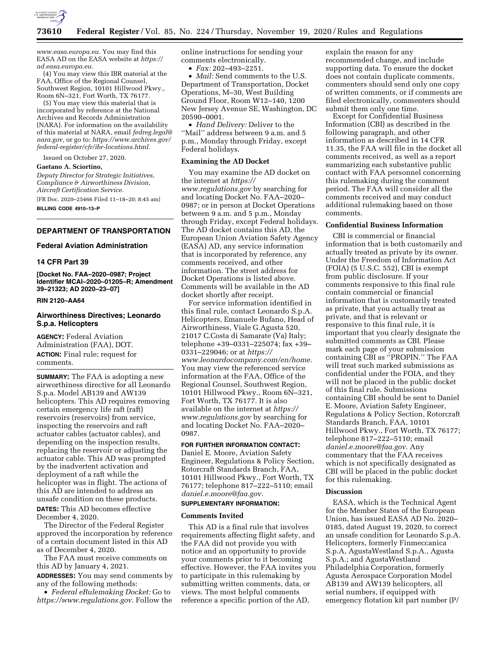

*[www.easa.europa.eu.](http://www.easa.europa.eu)* You may find this EASA AD on the EASA website at *[https://](https://ad.easa.europa.eu) [ad.easa.europa.eu.](https://ad.easa.europa.eu)* 

(4) You may view this IBR material at the FAA, Office of the Regional Counsel, Southwest Region, 10101 Hillwood Pkwy., Room 6N–321, Fort Worth, TX 76177.

(5) You may view this material that is incorporated by reference at the National Archives and Records Administration (NARA). For information on the availability of this material at NARA, email *[fedreg.legal@](mailto:fedreg.legal@nara.gov) [nara.gov,](mailto:fedreg.legal@nara.gov)* or go to: *[https://www.archives.gov/](https://www.archives.gov/federal-register/cfr/ibr-locations.html) [federal-register/cfr/ibr-locations.html.](https://www.archives.gov/federal-register/cfr/ibr-locations.html)* 

Issued on October 27, 2020.

#### **Gaetano A. Sciortino,**

*Deputy Director for Strategic Initiatives, Compliance & Airworthiness Division, Aircraft Certification Service.* 

[FR Doc. 2020–25466 Filed 11–18–20; 8:45 am]

**BILLING CODE 4910–13–P** 

# **DEPARTMENT OF TRANSPORTATION**

# **Federal Aviation Administration**

#### **14 CFR Part 39**

**[Docket No. FAA–2020–0987; Project Identifier MCAI–2020–01205–R; Amendment 39–21323; AD 2020–23–07]** 

# **RIN 2120–AA64**

# **Airworthiness Directives; Leonardo S.p.a. Helicopters**

**AGENCY:** Federal Aviation Administration (FAA), DOT. **ACTION:** Final rule; request for comments.

**SUMMARY:** The FAA is adopting a new airworthiness directive for all Leonardo S.p.a. Model AB139 and AW139 helicopters. This AD requires removing certain emergency life raft (raft) reservoirs (reservoirs) from service, inspecting the reservoirs and raft actuator cables (actuator cables), and depending on the inspection results, replacing the reservoir or adjusting the actuator cable. This AD was prompted by the inadvertent activation and deployment of a raft while the helicopter was in flight. The actions of this AD are intended to address an unsafe condition on these products. **DATES:** This AD becomes effective

December 4, 2020.

The Director of the Federal Register approved the incorporation by reference of a certain document listed in this AD as of December 4, 2020.

The FAA must receive comments on this AD by January 4, 2021.

**ADDRESSES:** You may send comments by any of the following methods:

• *Federal eRulemaking Docket:* Go to *[https://www.regulations.gov.](https://www.regulations.gov)* Follow the online instructions for sending your comments electronically.

• *Fax:* 202–493–2251.

• *Mail:* Send comments to the U.S. Department of Transportation, Docket Operations, M–30, West Building Ground Floor, Room W12–140, 1200 New Jersey Avenue SE, Washington, DC 20590–0001.

• *Hand Delivery:* Deliver to the ''Mail'' address between 9 a.m. and 5 p.m., Monday through Friday, except Federal holidays.

#### **Examining the AD Docket**

You may examine the AD docket on the internet at *[https://](https://www.regulations.gov) [www.regulations.gov](https://www.regulations.gov)* by searching for and locating Docket No. FAA–2020– 0987; or in person at Docket Operations between 9 a.m. and 5 p.m., Monday through Friday, except Federal holidays. The AD docket contains this AD, the European Union Aviation Safety Agency (EASA) AD, any service information that is incorporated by reference, any comments received, and other information. The street address for Docket Operations is listed above. Comments will be available in the AD docket shortly after receipt.

For service information identified in this final rule, contact Leonardo S.p.A. Helicopters, Emanuele Bufano, Head of Airworthiness, Viale G.Agusta 520, 21017 C.Costa di Samarate (Va) Italy; telephone +39–0331–225074; fax +39– 0331–229046; or at *[https://](https://www.leonardocompany.com/en/home) [www.leonardocompany.com/en/home.](https://www.leonardocompany.com/en/home)*  You may view the referenced service information at the FAA, Office of the Regional Counsel, Southwest Region, 10101 Hillwood Pkwy., Room 6N–321, Fort Worth, TX 76177. It is also available on the internet at *[https://](https://www.regulations.gov) [www.regulations.gov](https://www.regulations.gov)* by searching for and locating Docket No. FAA–2020– 0987.

#### **FOR FURTHER INFORMATION CONTACT:**

Daniel E. Moore, Aviation Safety Engineer, Regulations & Policy Section, Rotorcraft Standards Branch, FAA, 10101 Hillwood Pkwy., Fort Worth, TX 76177; telephone 817–222–5110; email *[daniel.e.moore@faa.gov.](mailto:daniel.e.moore@faa.gov)* 

# **SUPPLEMENTARY INFORMATION:**

#### **Comments Invited**

This AD is a final rule that involves requirements affecting flight safety, and the FAA did not provide you with notice and an opportunity to provide your comments prior to it becoming effective. However, the FAA invites you to participate in this rulemaking by submitting written comments, data, or views. The most helpful comments reference a specific portion of the AD,

explain the reason for any recommended change, and include supporting data. To ensure the docket does not contain duplicate comments, commenters should send only one copy of written comments, or if comments are filed electronically, commenters should submit them only one time.

Except for Confidential Business Information (CBI) as described in the following paragraph, and other information as described in 14 CFR 11.35, the FAA will file in the docket all comments received, as well as a report summarizing each substantive public contact with FAA personnel concerning this rulemaking during the comment period. The FAA will consider all the comments received and may conduct additional rulemaking based on those comments.

# **Confidential Business Information**

CBI is commercial or financial information that is both customarily and actually treated as private by its owner. Under the Freedom of Information Act (FOIA) (5 U.S.C. 552), CBI is exempt from public disclosure. If your comments responsive to this final rule contain commercial or financial information that is customarily treated as private, that you actually treat as private, and that is relevant or responsive to this final rule, it is important that you clearly designate the submitted comments as CBI. Please mark each page of your submission containing CBI as ''PROPIN.'' The FAA will treat such marked submissions as confidential under the FOIA, and they will not be placed in the public docket of this final rule. Submissions containing CBI should be sent to Daniel E. Moore, Aviation Safety Engineer, Regulations & Policy Section, Rotorcraft Standards Branch, FAA, 10101 Hillwood Pkwy., Fort Worth, TX 76177; telephone 817–222–5110; email *[daniel.e.moore@faa.gov.](mailto:daniel.e.moore@faa.gov)* Any commentary that the FAA receives which is not specifically designated as CBI will be placed in the public docket for this rulemaking.

# **Discussion**

EASA, which is the Technical Agent for the Member States of the European Union, has issued EASA AD No. 2020– 0185, dated August 19, 2020, to correct an unsafe condition for Leonardo S.p.A. Helicopters, formerly Finmeccanica S.p.A, AgustaWestland S.p.A., Agusta S.p.A.; and AgustaWestland Philadelphia Corporation, formerly Agusta Aerospace Corporation Model AB139 and AW139 helicopters, all serial numbers, if equipped with emergency flotation kit part number (P/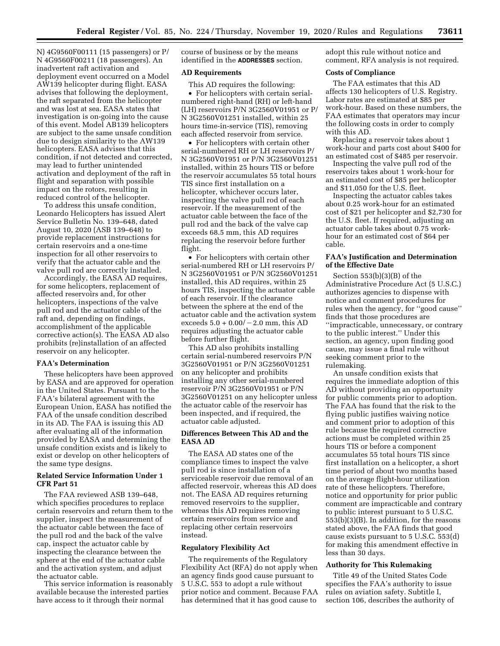N) 4G9560F00111 (15 passengers) or P/ N 4G9560F00211 (18 passengers). An inadvertent raft activation and deployment event occurred on a Model AW139 helicopter during flight. EASA advises that following the deployment, the raft separated from the helicopter and was lost at sea. EASA states that investigation is on-going into the cause of this event. Model AB139 helicopters are subject to the same unsafe condition due to design similarity to the AW139 helicopters. EASA advises that this condition, if not detected and corrected, may lead to further unintended activation and deployment of the raft in flight and separation with possible impact on the rotors, resulting in reduced control of the helicopter.

To address this unsafe condition, Leonardo Helicopters has issued Alert Service Bulletin No. 139–648, dated August 10, 2020 (ASB 139–648) to provide replacement instructions for certain reservoirs and a one-time inspection for all other reservoirs to verify that the actuator cable and the valve pull rod are correctly installed.

Accordingly, the EASA AD requires, for some helicopters, replacement of affected reservoirs and, for other helicopters, inspections of the valve pull rod and the actuator cable of the raft and, depending on findings, accomplishment of the applicable corrective action(s). The EASA AD also prohibits (re)installation of an affected reservoir on any helicopter.

#### **FAA's Determination**

These helicopters have been approved by EASA and are approved for operation in the United States. Pursuant to the FAA's bilateral agreement with the European Union, EASA has notified the FAA of the unsafe condition described in its AD. The FAA is issuing this AD after evaluating all of the information provided by EASA and determining the unsafe condition exists and is likely to exist or develop on other helicopters of the same type designs.

# **Related Service Information Under 1 CFR Part 51**

The FAA reviewed ASB 139–648, which specifies procedures to replace certain reservoirs and return them to the supplier, inspect the measurement of the actuator cable between the face of the pull rod and the back of the valve cap, inspect the actuator cable by inspecting the clearance between the sphere at the end of the actuator cable and the activation system, and adjust the actuator cable.

This service information is reasonably available because the interested parties have access to it through their normal

course of business or by the means identified in the **ADDRESSES** section.

# **AD Requirements**

This AD requires the following:

• For helicopters with certain serialnumbered right-hand (RH) or left-hand (LH) reservoirs P/N 3G2560V01951 or P/ N 3G2560V01251 installed, within 25 hours time-in-service (TIS), removing each affected reservoir from service.

• For helicopters with certain other serial-numbered RH or LH reservoirs P/ N 3G2560V01951 or P/N 3G2560V01251 installed, within 25 hours TIS or before the reservoir accumulates 55 total hours TIS since first installation on a helicopter, whichever occurs later, inspecting the valve pull rod of each reservoir. If the measurement of the actuator cable between the face of the pull rod and the back of the valve cap exceeds 68.5 mm, this AD requires replacing the reservoir before further flight.

• For helicopters with certain other serial-numbered RH or LH reservoirs P/ N 3G2560V01951 or P/N 3G2560V01251 installed, this AD requires, within 25 hours TIS, inspecting the actuator cable of each reservoir. If the clearance between the sphere at the end of the actuator cable and the activation system exceeds  $5.0 + 0.00/-2.0$  mm, this AD requires adjusting the actuator cable before further flight.

This AD also prohibits installing certain serial-numbered reservoirs P/N 3G2560V01951 or P/N 3G2560V01251 on any helicopter and prohibits installing any other serial-numbered reservoir P/N 3G2560V01951 or P/N 3G2560V01251 on any helicopter unless the actuator cable of the reservoir has been inspected, and if required, the actuator cable adjusted.

# **Differences Between This AD and the EASA AD**

The EASA AD states one of the compliance times to inspect the valve pull rod is since installation of a serviceable reservoir due removal of an affected reservoir, whereas this AD does not. The EASA AD requires returning removed reservoirs to the supplier, whereas this AD requires removing certain reservoirs from service and replacing other certain reservoirs instead.

#### **Regulatory Flexibility Act**

The requirements of the Regulatory Flexibility Act (RFA) do not apply when an agency finds good cause pursuant to 5 U.S.C. 553 to adopt a rule without prior notice and comment. Because FAA has determined that it has good cause to

adopt this rule without notice and comment, RFA analysis is not required.

# **Costs of Compliance**

The FAA estimates that this AD affects 130 helicopters of U.S. Registry. Labor rates are estimated at \$85 per work-hour. Based on these numbers, the FAA estimates that operators may incur the following costs in order to comply with this AD.

Replacing a reservoir takes about 1 work-hour and parts cost about \$400 for an estimated cost of \$485 per reservoir.

Inspecting the valve pull rod of the reservoirs takes about 1 work-hour for an estimated cost of \$85 per helicopter and \$11,050 for the U.S. fleet.

Inspecting the actuator cables takes about 0.25 work-hour for an estimated cost of \$21 per helicopter and \$2,730 for the U.S. fleet. If required, adjusting an actuator cable takes about 0.75 workhour for an estimated cost of \$64 per cable.

## **FAA's Justification and Determination of the Effective Date**

Section 553(b)(3)(B) of the Administrative Procedure Act (5 U.S.C.) authorizes agencies to dispense with notice and comment procedures for rules when the agency, for ''good cause'' finds that those procedures are ''impracticable, unnecessary, or contrary to the public interest.'' Under this section, an agency, upon finding good cause, may issue a final rule without seeking comment prior to the rulemaking.

An unsafe condition exists that requires the immediate adoption of this AD without providing an opportunity for public comments prior to adoption. The FAA has found that the risk to the flying public justifies waiving notice and comment prior to adoption of this rule because the required corrective actions must be completed within 25 hours TIS or before a component accumulates 55 total hours TIS since first installation on a helicopter, a short time period of about two months based on the average flight-hour utilization rate of these helicopters. Therefore, notice and opportunity for prior public comment are impracticable and contrary to public interest pursuant to 5 U.S.C. 553(b)(3)(B). In addition, for the reasons stated above, the FAA finds that good cause exists pursuant to 5 U.S.C. 553(d) for making this amendment effective in less than 30 days.

# **Authority for This Rulemaking**

Title 49 of the United States Code specifies the FAA's authority to issue rules on aviation safety. Subtitle I, section 106, describes the authority of